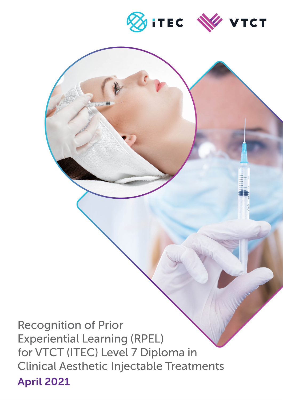

**Recognition of Prior Experiential Learning (RPEL)** for VTCT (ITEC) Level 7 Diploma in **Clinical Aesthetic Injectable Treatments** April 2021

Recognition of Prior Experiential

Learning (RPEL) for VTCT (ITEC)

Aesthetic Injectable Treatments

Level 7 Diploma in Clinical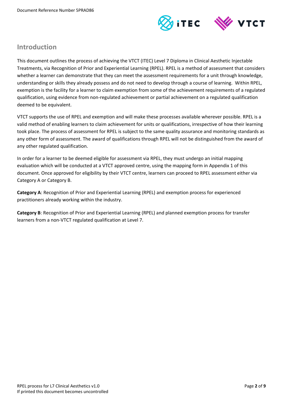

## **Introduction**

This document outlines the process of achieving the VTCT (ITEC) Level 7 Diploma in Clinical Aesthetic Injectable Treatments, via Recognition of Prior and Experiential Learning (RPEL). RPEL is a method of assessment that considers whether a learner can demonstrate that they can meet the assessment requirements for a unit through knowledge, understanding or skills they already possess and do not need to develop through a course of learning. Within RPEL, exemption is the facility for a learner to claim exemption from some of the achievement requirements of a regulated qualification, using evidence from non-regulated achievement or partial achievement on a regulated qualification deemed to be equivalent.

VTCT supports the use of RPEL and exemption and will make these processes available wherever possible. RPEL is a valid method of enabling learners to claim achievement for units or qualifications, irrespective of how their learning took place. The process of assessment for RPEL is subject to the same quality assurance and monitoring standards as any other form of assessment. The award of qualifications through RPEL will not be distinguished from the award of any other regulated qualification.

In order for a learner to be deemed eligible for assessment via RPEL, they must undergo an initial mapping evaluation which will be conducted at a VTCT approved centre, using the mapping form in Appendix 1 of this document. Once approved for eligibility by their VTCT centre, learners can proceed to RPEL assessment either via Category A or Category B.

**Category A**: Recognition of Prior and Experiential Learning (RPEL) and exemption process for experienced practitioners already working within the industry.

**Category B**: Recognition of Prior and Experiential Learning (RPEL) and planned exemption process for transfer learners from a non-VTCT regulated qualification at Level 7.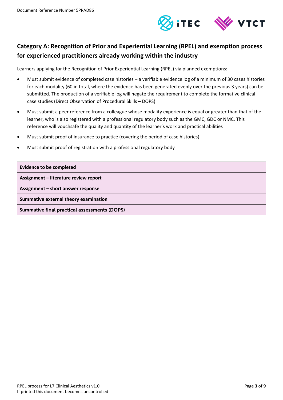

# **Category A: Recognition of Prior and Experiential Learning (RPEL) and exemption process for experienced practitioners already working within the industry**

Learners applying for the Recognition of Prior Experiential Learning (RPEL) via planned exemptions:

- Must submit evidence of completed case histories a verifiable evidence log of a minimum of 30 cases histories for each modality (60 in total, where the evidence has been generated evenly over the previous 3 years) can be submitted. The production of a verifiable log will negate the requirement to complete the formative clinical case studies (Direct Observation of Procedural Skills – DOPS)
- Must submit a peer reference from a colleague whose modality experience is equal or greater than that of the learner, who is also registered with a professional regulatory body such as the GMC, GDC or NMC. This reference will vouchsafe the quality and quantity of the learner's work and practical abilities
- Must submit proof of insurance to practice (covering the period of case histories)
- Must submit proof of registration with a professional regulatory body

| <b>Evidence to be completed</b>                     |
|-----------------------------------------------------|
| Assignment - literature review report               |
| Assignment – short answer response                  |
| Summative external theory examination               |
| <b>Summative final practical assessments (DOPS)</b> |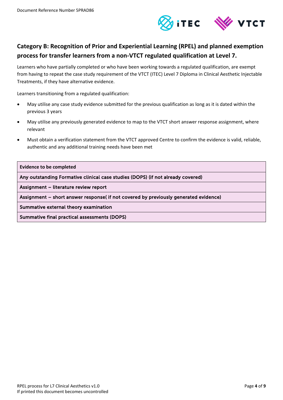

# **Category B: Recognition of Prior and Experiential Learning (RPEL) and planned exemption process for transfer learners from a non-VTCT regulated qualification at Level 7.**

Learners who have partially completed or who have been working towards a regulated qualification, are exempt from having to repeat the case study requirement of the VTCT (ITEC) Level 7 Diploma in Clinical Aesthetic Injectable Treatments, if they have alternative evidence.

Learners transitioning from a regulated qualification:

- May utilise any case study evidence submitted for the previous qualification as long as it is dated within the previous 3 years
- May utilise any previously generated evidence to map to the VTCT short answer response assignment, where relevant
- Must obtain a verification statement from the VTCT approved Centre to confirm the evidence is valid, reliable, authentic and any additional training needs have been met

**Evidence to be completed** 

Any outstanding Formative clinical case studies (DOPS) (if not already covered)

Assignment – literature review report

Assignment – short answer response( if not covered by previously generated evidence)

Summative external theory examination

Summative final practical assessments (DOPS)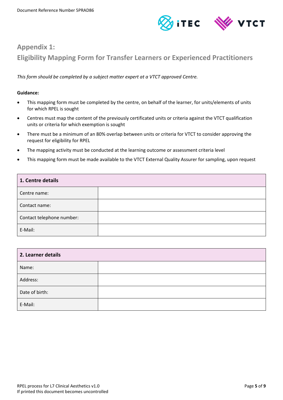

# **Appendix 1: Eligibility Mapping Form for Transfer Learners or Experienced Practitioners**

*This form should be completed by a subject matter expert at a VTCT approved Centre.*

### **Guidance:**

- This mapping form must be completed by the centre, on behalf of the learner, for units/elements of units for which RPEL is sought
- Centres must map the content of the previously certificated units or criteria against the VTCT qualification units or criteria for which exemption is sought
- There must be a minimum of an 80% overlap between units or criteria for VTCT to consider approving the request for eligibility for RPEL
- The mapping activity must be conducted at the learning outcome or assessment criteria level
- This mapping form must be made available to the VTCT External Quality Assurer for sampling, upon request

| 1. Centre details         |  |
|---------------------------|--|
| Centre name:              |  |
| Contact name:             |  |
| Contact telephone number: |  |
| E-Mail:                   |  |

| 2. Learner details |  |
|--------------------|--|
| Name:              |  |
| Address:           |  |
| Date of birth:     |  |
| E-Mail:            |  |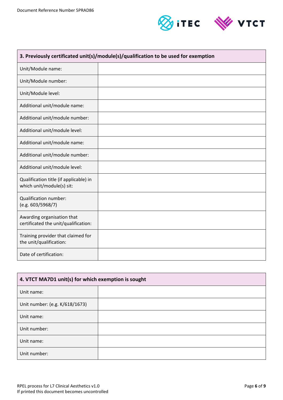

| 3. Previously certificated unit(s)/module(s)/qualification to be used for exemption |  |
|-------------------------------------------------------------------------------------|--|
| Unit/Module name:                                                                   |  |
| Unit/Module number:                                                                 |  |
| Unit/Module level:                                                                  |  |
| Additional unit/module name:                                                        |  |
| Additional unit/module number:                                                      |  |
| Additional unit/module level:                                                       |  |
| Additional unit/module name:                                                        |  |
| Additional unit/module number:                                                      |  |
| Additional unit/module level:                                                       |  |
| Qualification title (if applicable) in<br>which unit/module(s) sit:                 |  |
| Qualification number:<br>(e.g. 603/5968/7)                                          |  |
| Awarding organisation that<br>certificated the unit/qualification:                  |  |
| Training provider that claimed for<br>the unit/qualification:                       |  |
| Date of certification:                                                              |  |

| 4. VTCT MA7D1 unit(s) for which exemption is sought |  |
|-----------------------------------------------------|--|
| Unit name:                                          |  |
| Unit number: (e.g. K/618/1673)                      |  |
| Unit name:                                          |  |
| Unit number:                                        |  |
| Unit name:                                          |  |
| Unit number:                                        |  |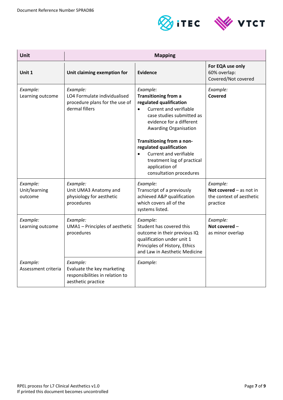



| <b>Unit</b>                          |                                                                                                 | <b>Mapping</b>                                                                                                                                                                                                                                                                                                                                                               |                                                                               |
|--------------------------------------|-------------------------------------------------------------------------------------------------|------------------------------------------------------------------------------------------------------------------------------------------------------------------------------------------------------------------------------------------------------------------------------------------------------------------------------------------------------------------------------|-------------------------------------------------------------------------------|
| Unit 1                               | Unit claiming exemption for                                                                     | Evidence                                                                                                                                                                                                                                                                                                                                                                     | For EQA use only<br>60% overlap:<br>Covered/Not covered                       |
| Example:<br>Learning outcome         | Example:<br>LO4 Formulate individualised<br>procedure plans for the use of<br>dermal fillers    | Example:<br><b>Transitioning from a</b><br>regulated qualification<br>Current and verifiable<br>$\bullet$<br>case studies submitted as<br>evidence for a different<br><b>Awarding Organisation</b><br>Transitioning from a non-<br>regulated qualification<br>Current and verifiable<br>$\bullet$<br>treatment log of practical<br>application of<br>consultation procedures | Example:<br>Covered                                                           |
| Example:<br>Unit/learning<br>outcome | Example:<br>Unit UMA3 Anatomy and<br>physiology for aesthetic<br>procedures                     | Example:<br>Transcript of a previously<br>achieved A&P qualification<br>which covers all of the<br>systems listed.                                                                                                                                                                                                                                                           | Example:<br>Not covered $-$ as not in<br>the context of aesthetic<br>practice |
| Example:<br>Learning outcome         | Example:<br>UMA1 - Principles of aesthetic<br>procedures                                        | Example:<br>Student has covered this<br>outcome in their previous IQ<br>qualification under unit 1<br>Principles of History, Ethics<br>and Law in Aesthetic Medicine                                                                                                                                                                                                         | Example:<br>Not covered -<br>as minor overlap                                 |
| Example:<br>Assessment criteria      | Example:<br>Evaluate the key marketing<br>responsibilities in relation to<br>aesthetic practice | Example:                                                                                                                                                                                                                                                                                                                                                                     |                                                                               |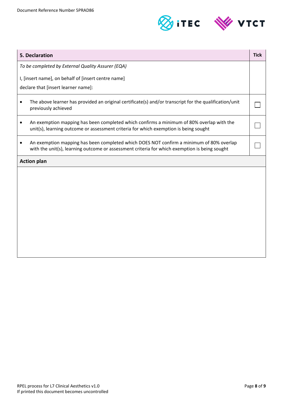

| 5. Declaration                                                                                                                                                                           | <b>Tick</b> |
|------------------------------------------------------------------------------------------------------------------------------------------------------------------------------------------|-------------|
| To be completed by External Quality Assurer (EQA)                                                                                                                                        |             |
| I, [insert name], on behalf of [insert centre name]                                                                                                                                      |             |
| declare that [insert learner name]:                                                                                                                                                      |             |
| The above learner has provided an original certificate(s) and/or transcript for the qualification/unit<br>previously achieved                                                            |             |
| An exemption mapping has been completed which confirms a minimum of 80% overlap with the<br>unit(s), learning outcome or assessment criteria for which exemption is being sought         |             |
| An exemption mapping has been completed which DOES NOT confirm a minimum of 80% overlap<br>with the unit(s), learning outcome or assessment criteria for which exemption is being sought |             |
| <b>Action plan</b>                                                                                                                                                                       |             |
|                                                                                                                                                                                          |             |
|                                                                                                                                                                                          |             |
|                                                                                                                                                                                          |             |
|                                                                                                                                                                                          |             |
|                                                                                                                                                                                          |             |
|                                                                                                                                                                                          |             |
|                                                                                                                                                                                          |             |
|                                                                                                                                                                                          |             |